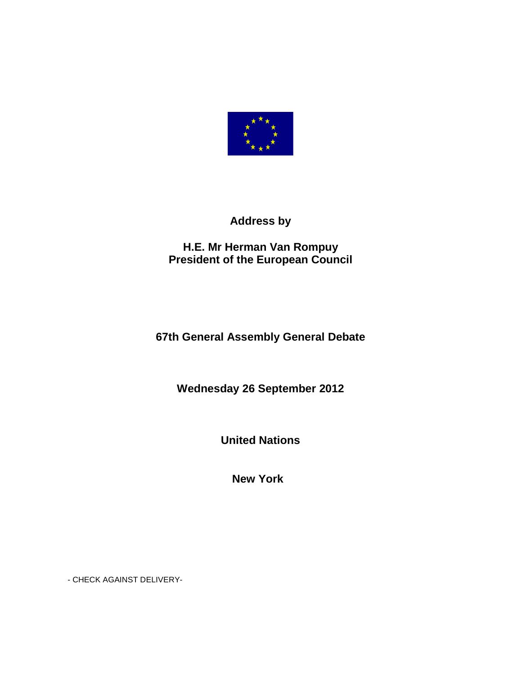

## **Address by**

## **H.E. Mr Herman Van Rompuy President of the European Council**

## **67th General Assembly General Debate**

**Wednesday 26 September 2012** 

**United Nations** 

**New York** 

- CHECK AGAINST DELIVERY-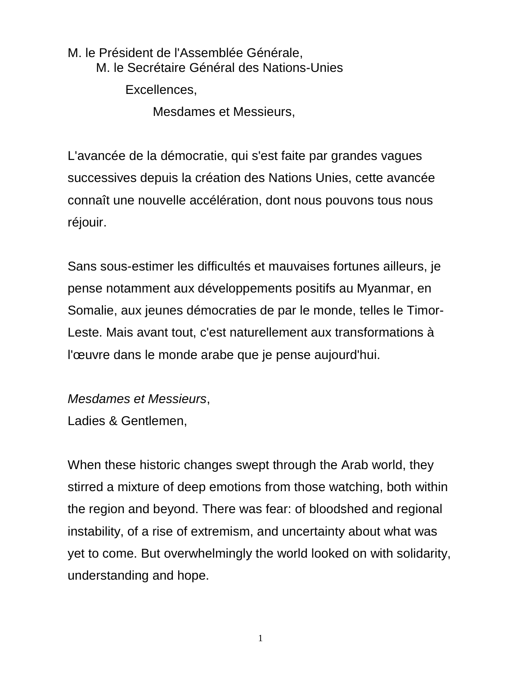M. le Président de l'Assemblée Générale, M. le Secrétaire Général des Nations-Unies Excellences,

Mesdames et Messieurs,

L'avancée de la démocratie, qui s'est faite par grandes vagues successives depuis la création des Nations Unies, cette avancée connaît une nouvelle accélération, dont nous pouvons tous nous réjouir.

Sans sous-estimer les difficultés et mauvaises fortunes ailleurs, je pense notamment aux développements positifs au Myanmar, en Somalie, aux jeunes démocraties de par le monde, telles le Timor-Leste. Mais avant tout, c'est naturellement aux transformations à l'œuvre dans le monde arabe que je pense aujourd'hui.

Mesdames et Messieurs, Ladies & Gentlemen,

When these historic changes swept through the Arab world, they stirred a mixture of deep emotions from those watching, both within the region and beyond. There was fear: of bloodshed and regional instability, of a rise of extremism, and uncertainty about what was yet to come. But overwhelmingly the world looked on with solidarity, understanding and hope.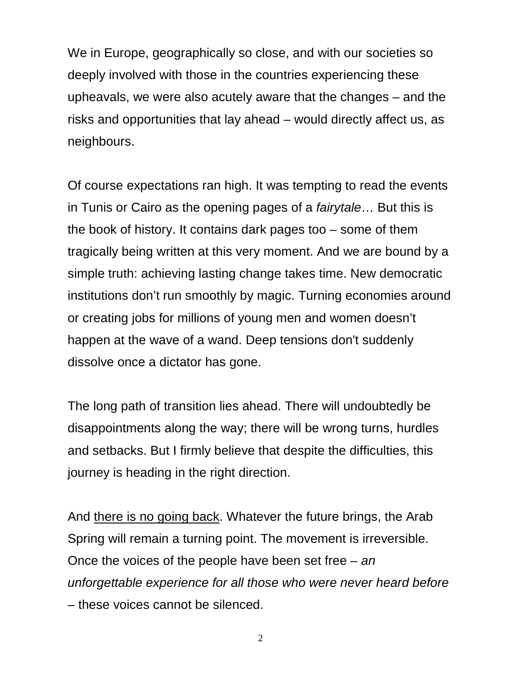We in Europe, geographically so close, and with our societies so deeply involved with those in the countries experiencing these upheavals, we were also acutely aware that the changes – and the risks and opportunities that lay ahead – would directly affect us, as neighbours.

Of course expectations ran high. It was tempting to read the events in Tunis or Cairo as the opening pages of a fairytale… But this is the book of history. It contains dark pages too – some of them tragically being written at this very moment. And we are bound by a simple truth: achieving lasting change takes time. New democratic institutions don't run smoothly by magic. Turning economies around or creating jobs for millions of young men and women doesn't happen at the wave of a wand. Deep tensions don't suddenly dissolve once a dictator has gone.

The long path of transition lies ahead. There will undoubtedly be disappointments along the way; there will be wrong turns, hurdles and setbacks. But I firmly believe that despite the difficulties, this journey is heading in the right direction.

And there is no going back. Whatever the future brings, the Arab Spring will remain a turning point. The movement is irreversible. Once the voices of the people have been set free  $-$  an unforgettable experience for all those who were never heard before – these voices cannot be silenced.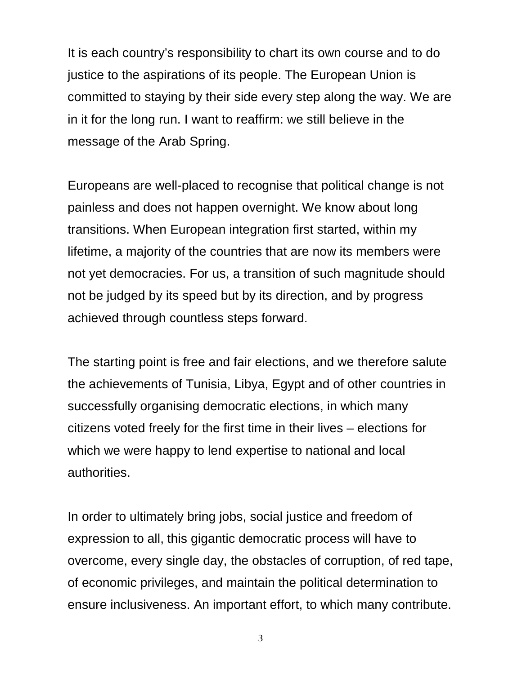It is each country's responsibility to chart its own course and to do justice to the aspirations of its people. The European Union is committed to staying by their side every step along the way. We are in it for the long run. I want to reaffirm: we still believe in the message of the Arab Spring.

Europeans are well-placed to recognise that political change is not painless and does not happen overnight. We know about long transitions. When European integration first started, within my lifetime, a majority of the countries that are now its members were not yet democracies. For us, a transition of such magnitude should not be judged by its speed but by its direction, and by progress achieved through countless steps forward.

The starting point is free and fair elections, and we therefore salute the achievements of Tunisia, Libya, Egypt and of other countries in successfully organising democratic elections, in which many citizens voted freely for the first time in their lives – elections for which we were happy to lend expertise to national and local authorities.

In order to ultimately bring jobs, social justice and freedom of expression to all, this gigantic democratic process will have to overcome, every single day, the obstacles of corruption, of red tape, of economic privileges, and maintain the political determination to ensure inclusiveness. An important effort, to which many contribute.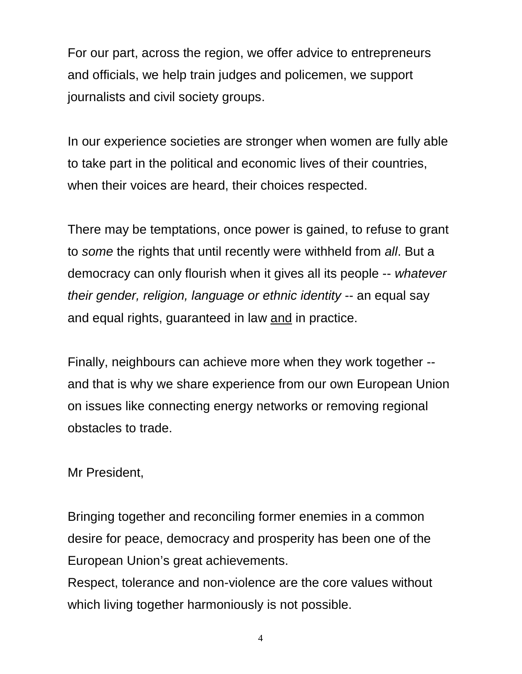For our part, across the region, we offer advice to entrepreneurs and officials, we help train judges and policemen, we support journalists and civil society groups.

In our experience societies are stronger when women are fully able to take part in the political and economic lives of their countries, when their voices are heard, their choices respected.

There may be temptations, once power is gained, to refuse to grant to some the rights that until recently were withheld from all. But a democracy can only flourish when it gives all its people -- whatever their gender, religion, language or ethnic identity -- an equal say and equal rights, guaranteed in law and in practice.

Finally, neighbours can achieve more when they work together - and that is why we share experience from our own European Union on issues like connecting energy networks or removing regional obstacles to trade.

Mr President,

Bringing together and reconciling former enemies in a common desire for peace, democracy and prosperity has been one of the European Union's great achievements.

Respect, tolerance and non-violence are the core values without which living together harmoniously is not possible.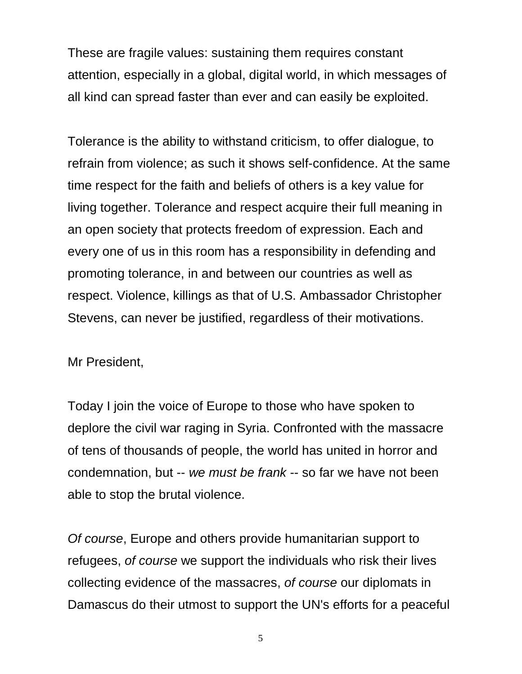These are fragile values: sustaining them requires constant attention, especially in a global, digital world, in which messages of all kind can spread faster than ever and can easily be exploited.

Tolerance is the ability to withstand criticism, to offer dialogue, to refrain from violence; as such it shows self-confidence. At the same time respect for the faith and beliefs of others is a key value for living together. Tolerance and respect acquire their full meaning in an open society that protects freedom of expression. Each and every one of us in this room has a responsibility in defending and promoting tolerance, in and between our countries as well as respect. Violence, killings as that of U.S. Ambassador Christopher Stevens, can never be justified, regardless of their motivations.

Mr President,

Today I join the voice of Europe to those who have spoken to deplore the civil war raging in Syria. Confronted with the massacre of tens of thousands of people, the world has united in horror and condemnation, but -- we must be frank -- so far we have not been able to stop the brutal violence.

Of course, Europe and others provide humanitarian support to refugees, of course we support the individuals who risk their lives collecting evidence of the massacres, of course our diplomats in Damascus do their utmost to support the UN's efforts for a peaceful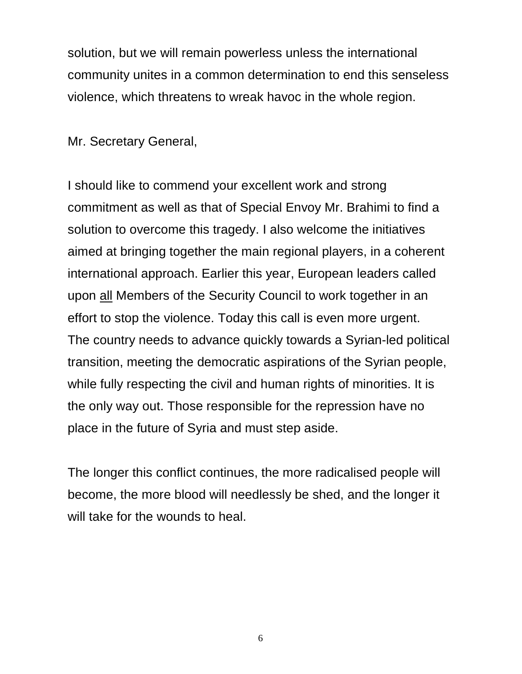solution, but we will remain powerless unless the international community unites in a common determination to end this senseless violence, which threatens to wreak havoc in the whole region.

Mr. Secretary General,

I should like to commend your excellent work and strong commitment as well as that of Special Envoy Mr. Brahimi to find a solution to overcome this tragedy. I also welcome the initiatives aimed at bringing together the main regional players, in a coherent international approach. Earlier this year, European leaders called upon all Members of the Security Council to work together in an effort to stop the violence. Today this call is even more urgent. The country needs to advance quickly towards a Syrian-led political transition, meeting the democratic aspirations of the Syrian people, while fully respecting the civil and human rights of minorities. It is the only way out. Those responsible for the repression have no place in the future of Syria and must step aside.

The longer this conflict continues, the more radicalised people will become, the more blood will needlessly be shed, and the longer it will take for the wounds to heal.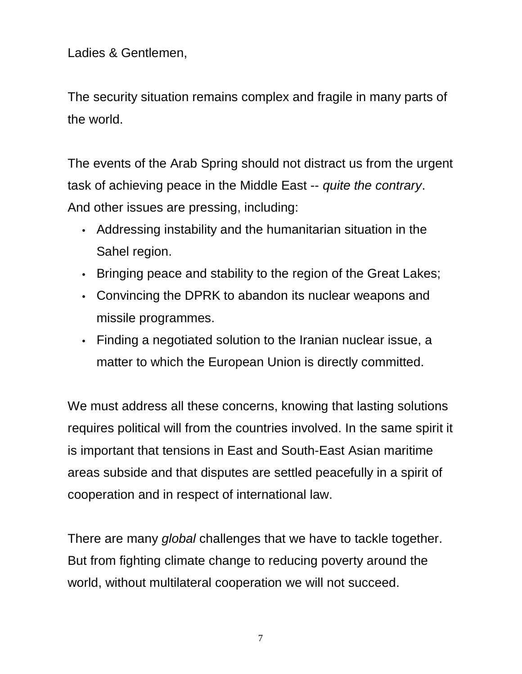Ladies & Gentlemen,

The security situation remains complex and fragile in many parts of the world.

The events of the Arab Spring should not distract us from the urgent task of achieving peace in the Middle East -- quite the contrary. And other issues are pressing, including:

- Addressing instability and the humanitarian situation in the Sahel region.
- Bringing peace and stability to the region of the Great Lakes;
- Convincing the DPRK to abandon its nuclear weapons and missile programmes.
- Finding a negotiated solution to the Iranian nuclear issue, a matter to which the European Union is directly committed.

We must address all these concerns, knowing that lasting solutions requires political will from the countries involved. In the same spirit it is important that tensions in East and South-East Asian maritime areas subside and that disputes are settled peacefully in a spirit of cooperation and in respect of international law.

There are many *global* challenges that we have to tackle together. But from fighting climate change to reducing poverty around the world, without multilateral cooperation we will not succeed.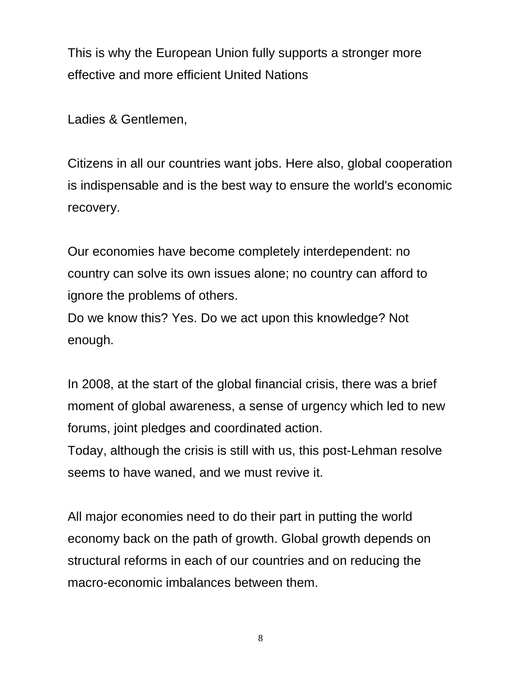This is why the European Union fully supports a stronger more effective and more efficient United Nations

Ladies & Gentlemen,

Citizens in all our countries want jobs. Here also, global cooperation is indispensable and is the best way to ensure the world's economic recovery.

Our economies have become completely interdependent: no country can solve its own issues alone; no country can afford to ignore the problems of others.

Do we know this? Yes. Do we act upon this knowledge? Not enough.

In 2008, at the start of the global financial crisis, there was a brief moment of global awareness, a sense of urgency which led to new forums, joint pledges and coordinated action.

Today, although the crisis is still with us, this post-Lehman resolve seems to have waned, and we must revive it.

All major economies need to do their part in putting the world economy back on the path of growth. Global growth depends on structural reforms in each of our countries and on reducing the macro-economic imbalances between them.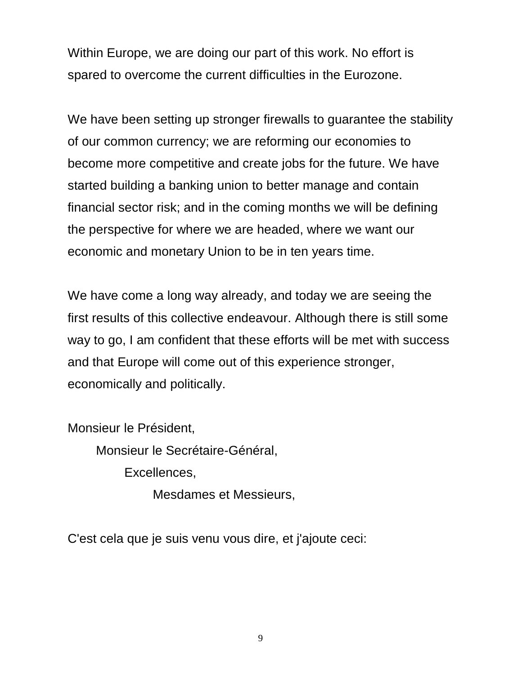Within Europe, we are doing our part of this work. No effort is spared to overcome the current difficulties in the Eurozone.

We have been setting up stronger firewalls to guarantee the stability of our common currency; we are reforming our economies to become more competitive and create jobs for the future. We have started building a banking union to better manage and contain financial sector risk; and in the coming months we will be defining the perspective for where we are headed, where we want our economic and monetary Union to be in ten years time.

We have come a long way already, and today we are seeing the first results of this collective endeavour. Although there is still some way to go, I am confident that these efforts will be met with success and that Europe will come out of this experience stronger, economically and politically.

Monsieur le Président, Monsieur le Secrétaire-Général, Excellences, Mesdames et Messieurs,

C'est cela que je suis venu vous dire, et j'ajoute ceci: